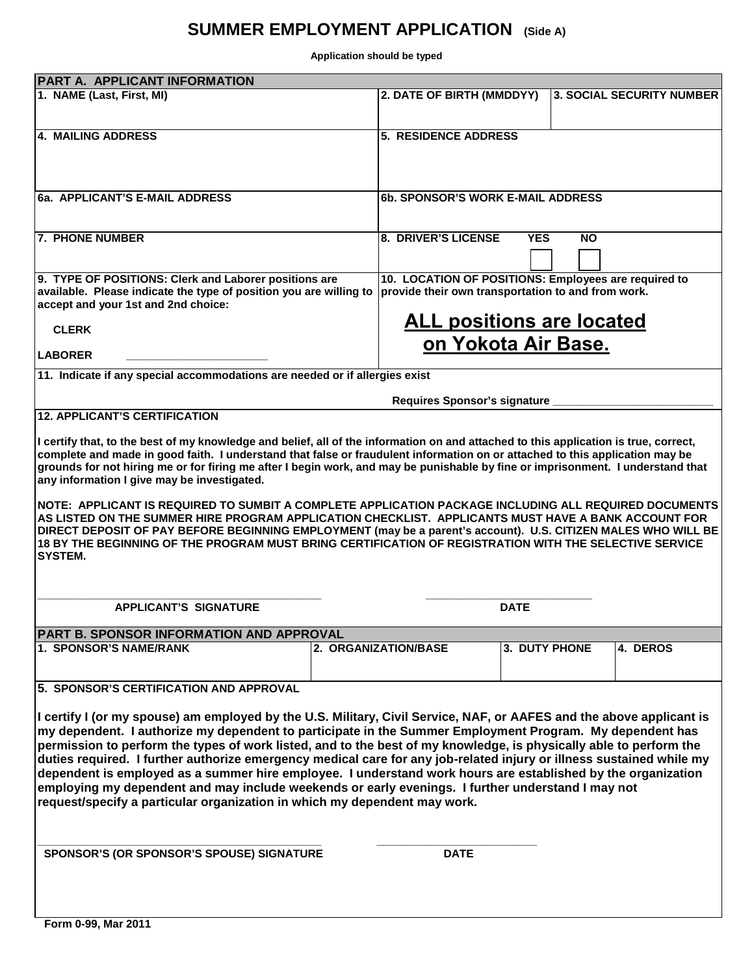## **SUMMER EMPLOYMENT APPLICATION (Side A)**

**Application should be typed**

| PART A. APPLICANT INFORMATION                                                                                                                                                                                                    |                                     |                                                                                                            |               |           |                                  |  |  |
|----------------------------------------------------------------------------------------------------------------------------------------------------------------------------------------------------------------------------------|-------------------------------------|------------------------------------------------------------------------------------------------------------|---------------|-----------|----------------------------------|--|--|
| 1. NAME (Last, First, MI)                                                                                                                                                                                                        |                                     | 2. DATE OF BIRTH (MMDDYY)                                                                                  |               |           | <b>3. SOCIAL SECURITY NUMBER</b> |  |  |
|                                                                                                                                                                                                                                  |                                     |                                                                                                            |               |           |                                  |  |  |
|                                                                                                                                                                                                                                  |                                     |                                                                                                            |               |           |                                  |  |  |
| <b>4. MAILING ADDRESS</b>                                                                                                                                                                                                        |                                     | 5. RESIDENCE ADDRESS                                                                                       |               |           |                                  |  |  |
|                                                                                                                                                                                                                                  |                                     |                                                                                                            |               |           |                                  |  |  |
|                                                                                                                                                                                                                                  |                                     |                                                                                                            |               |           |                                  |  |  |
|                                                                                                                                                                                                                                  |                                     |                                                                                                            |               |           |                                  |  |  |
| 6a. APPLICANT'S E-MAIL ADDRESS                                                                                                                                                                                                   |                                     | <b>6b. SPONSOR'S WORK E-MAIL ADDRESS</b>                                                                   |               |           |                                  |  |  |
|                                                                                                                                                                                                                                  |                                     |                                                                                                            |               |           |                                  |  |  |
|                                                                                                                                                                                                                                  |                                     |                                                                                                            |               |           |                                  |  |  |
| 7. PHONE NUMBER                                                                                                                                                                                                                  |                                     | 8. DRIVER'S LICENSE                                                                                        | <b>YES</b>    | <b>NO</b> |                                  |  |  |
|                                                                                                                                                                                                                                  |                                     |                                                                                                            |               |           |                                  |  |  |
|                                                                                                                                                                                                                                  |                                     |                                                                                                            |               |           |                                  |  |  |
| 9. TYPE OF POSITIONS: Clerk and Laborer positions are<br>available. Please indicate the type of position you are willing to                                                                                                      |                                     | 10. LOCATION OF POSITIONS: Employees are required to<br>provide their own transportation to and from work. |               |           |                                  |  |  |
| accept and your 1st and 2nd choice:                                                                                                                                                                                              |                                     |                                                                                                            |               |           |                                  |  |  |
|                                                                                                                                                                                                                                  |                                     |                                                                                                            |               |           |                                  |  |  |
| <b>CLERK</b>                                                                                                                                                                                                                     |                                     | <b>ALL positions are located</b>                                                                           |               |           |                                  |  |  |
|                                                                                                                                                                                                                                  |                                     | on Yokota Air Base.                                                                                        |               |           |                                  |  |  |
| <b>LABORER</b>                                                                                                                                                                                                                   |                                     |                                                                                                            |               |           |                                  |  |  |
| 11. Indicate if any special accommodations are needed or if allergies exist                                                                                                                                                      |                                     |                                                                                                            |               |           |                                  |  |  |
|                                                                                                                                                                                                                                  |                                     |                                                                                                            |               |           |                                  |  |  |
|                                                                                                                                                                                                                                  | <b>Requires Sponsor's signature</b> |                                                                                                            |               |           |                                  |  |  |
| <b>12. APPLICANT'S CERTIFICATION</b>                                                                                                                                                                                             |                                     |                                                                                                            |               |           |                                  |  |  |
| I certify that, to the best of my knowledge and belief, all of the information on and attached to this application is true, correct,                                                                                             |                                     |                                                                                                            |               |           |                                  |  |  |
| complete and made in good faith. I understand that false or fraudulent information on or attached to this application may be                                                                                                     |                                     |                                                                                                            |               |           |                                  |  |  |
| grounds for not hiring me or for firing me after I begin work, and may be punishable by fine or imprisonment. I understand that                                                                                                  |                                     |                                                                                                            |               |           |                                  |  |  |
| any information I give may be investigated.                                                                                                                                                                                      |                                     |                                                                                                            |               |           |                                  |  |  |
|                                                                                                                                                                                                                                  |                                     |                                                                                                            |               |           |                                  |  |  |
| NOTE: APPLICANT IS REQUIRED TO SUMBIT A COMPLETE APPLICATION PACKAGE INCLUDING ALL REQUIRED DOCUMENTS                                                                                                                            |                                     |                                                                                                            |               |           |                                  |  |  |
| AS LISTED ON THE SUMMER HIRE PROGRAM APPLICATION CHECKLIST. APPLICANTS MUST HAVE A BANK ACCOUNT FOR                                                                                                                              |                                     |                                                                                                            |               |           |                                  |  |  |
| DIRECT DEPOSIT OF PAY BEFORE BEGINNING EMPLOYMENT (may be a parent's account). U.S. CITIZEN MALES WHO WILL BE                                                                                                                    |                                     |                                                                                                            |               |           |                                  |  |  |
| 18 BY THE BEGINNING OF THE PROGRAM MUST BRING CERTIFICATION OF REGISTRATION WITH THE SELECTIVE SERVICE<br>SYSTEM.                                                                                                                |                                     |                                                                                                            |               |           |                                  |  |  |
|                                                                                                                                                                                                                                  |                                     |                                                                                                            |               |           |                                  |  |  |
|                                                                                                                                                                                                                                  |                                     |                                                                                                            |               |           |                                  |  |  |
|                                                                                                                                                                                                                                  |                                     |                                                                                                            |               |           |                                  |  |  |
| <b>APPLICANT'S SIGNATURE</b>                                                                                                                                                                                                     |                                     |                                                                                                            | <b>DATE</b>   |           |                                  |  |  |
|                                                                                                                                                                                                                                  |                                     |                                                                                                            |               |           |                                  |  |  |
| PART B. SPONSOR INFORMATION AND APPROVAL                                                                                                                                                                                         |                                     |                                                                                                            |               |           |                                  |  |  |
| <b>1. SPONSOR'S NAME/RANK</b>                                                                                                                                                                                                    |                                     | 2. ORGANIZATION/BASE                                                                                       | 3. DUTY PHONE |           | 4. DEROS                         |  |  |
|                                                                                                                                                                                                                                  |                                     |                                                                                                            |               |           |                                  |  |  |
| 5. SPONSOR'S CERTIFICATION AND APPROVAL                                                                                                                                                                                          |                                     |                                                                                                            |               |           |                                  |  |  |
|                                                                                                                                                                                                                                  |                                     |                                                                                                            |               |           |                                  |  |  |
|                                                                                                                                                                                                                                  |                                     |                                                                                                            |               |           |                                  |  |  |
| I certify I (or my spouse) am employed by the U.S. Military, Civil Service, NAF, or AAFES and the above applicant is<br>my dependent. I authorize my dependent to participate in the Summer Employment Program. My dependent has |                                     |                                                                                                            |               |           |                                  |  |  |
| permission to perform the types of work listed, and to the best of my knowledge, is physically able to perform the                                                                                                               |                                     |                                                                                                            |               |           |                                  |  |  |
| duties required. I further authorize emergency medical care for any job-related injury or illness sustained while my                                                                                                             |                                     |                                                                                                            |               |           |                                  |  |  |
| dependent is employed as a summer hire employee. I understand work hours are established by the organization                                                                                                                     |                                     |                                                                                                            |               |           |                                  |  |  |
| employing my dependent and may include weekends or early evenings. I further understand I may not                                                                                                                                |                                     |                                                                                                            |               |           |                                  |  |  |
| request/specify a particular organization in which my dependent may work.                                                                                                                                                        |                                     |                                                                                                            |               |           |                                  |  |  |
|                                                                                                                                                                                                                                  |                                     |                                                                                                            |               |           |                                  |  |  |
|                                                                                                                                                                                                                                  |                                     |                                                                                                            |               |           |                                  |  |  |
|                                                                                                                                                                                                                                  |                                     |                                                                                                            |               |           |                                  |  |  |
| SPONSOR'S (OR SPONSOR'S SPOUSE) SIGNATURE                                                                                                                                                                                        |                                     | <b>DATE</b>                                                                                                |               |           |                                  |  |  |
|                                                                                                                                                                                                                                  |                                     |                                                                                                            |               |           |                                  |  |  |
|                                                                                                                                                                                                                                  |                                     |                                                                                                            |               |           |                                  |  |  |
|                                                                                                                                                                                                                                  |                                     |                                                                                                            |               |           |                                  |  |  |
|                                                                                                                                                                                                                                  |                                     |                                                                                                            |               |           |                                  |  |  |